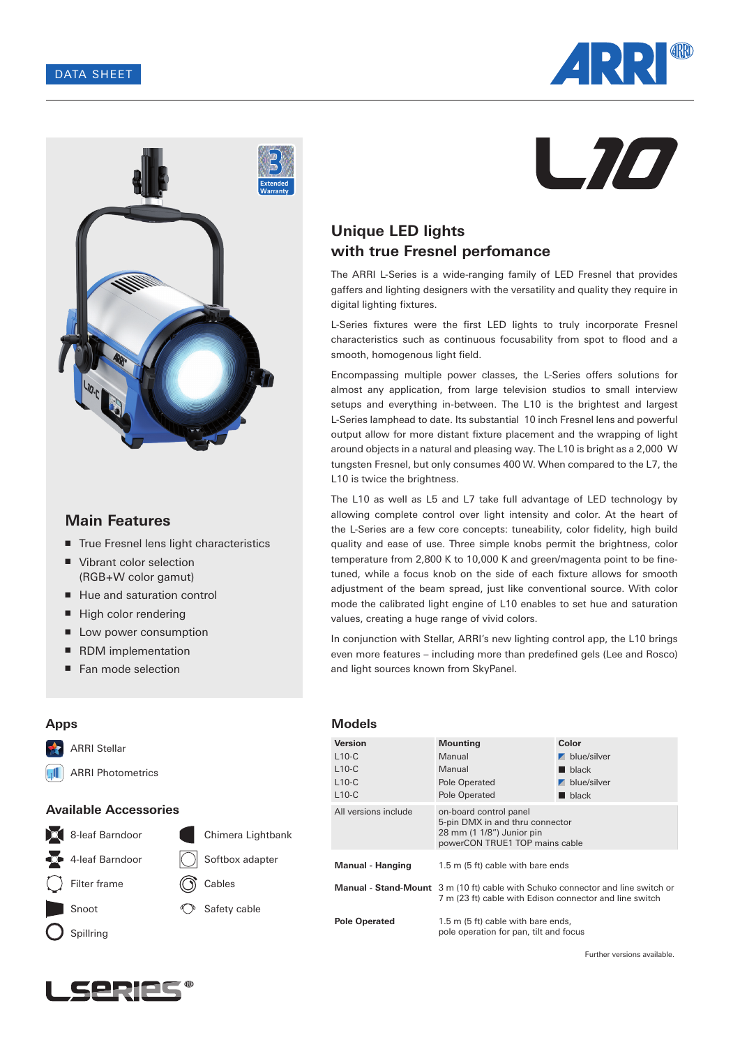



# **Main Features**

- True Fresnel lens light characteristics
- Vibrant color selection (RGB+W color gamut)
- Hue and saturation control
- High color rendering
- Low power consumption
- RDM implementation
- Fan mode selection



# **Unique LED lights with true Fresnel perfomance**

The ARRI L-Series is a wide-ranging family of LED Fresnel that provides gaffers and lighting designers with the versatility and quality they require in digital lighting fixtures.

L-Series fixtures were the first LED lights to truly incorporate Fresnel characteristics such as continuous focusability from spot to flood and a smooth, homogenous light field.

Encompassing multiple power classes, the L-Series offers solutions for almost any application, from large television studios to small interview setups and everything in-between. The L10 is the brightest and largest L-Series lamphead to date. Its substantial 10 inch Fresnel lens and powerful output allow for more distant fixture placement and the wrapping of light around objects in a natural and pleasing way. The L10 is bright as a 2,000 W tungsten Fresnel, but only consumes 400 W. When compared to the L7, the L10 is twice the brightness.

The L10 as well as L5 and L7 take full advantage of LED technology by allowing complete control over light intensity and color. At the heart of the L-Series are a few core concepts: tuneability, color fidelity, high build quality and ease of use. Three simple knobs permit the brightness, color temperature from 2,800 K to 10,000 K and green/magenta point to be finetuned, while a focus knob on the side of each fixture allows for smooth adjustment of the beam spread, just like conventional source. With color mode the calibrated light engine of L10 enables to set hue and saturation values, creating a huge range of vivid colors.

In conjunction with Stellar, ARRI's new lighting control app, the L10 brings even more features – including more than predefined gels (Lee and Rosco) and light sources known from SkyPanel.

## **Apps**



ARRI Photometrics  $\mathbf{H}$ 

## **Available Accessories**



#### **Models**

| <b>Version</b>       | <b>Mounting</b>                                                                                                                                   | Color                      |
|----------------------|---------------------------------------------------------------------------------------------------------------------------------------------------|----------------------------|
| $L10-C$              | Manual                                                                                                                                            | $\blacksquare$ blue/silver |
| $L10-C$              | Manual                                                                                                                                            | $\blacksquare$ black       |
| $L10-C$              | Pole Operated                                                                                                                                     | $\blacksquare$ blue/silver |
| $L10-C$              | Pole Operated                                                                                                                                     | $\blacksquare$ black       |
| All versions include | on-board control panel<br>5-pin DMX in and thru connector<br>28 mm (1 1/8") Junior pin<br>powerCON TRUE1 TOP mains cable                          |                            |
| Manual - Hanging     | 1.5 m (5 ft) cable with bare ends                                                                                                                 |                            |
|                      | <b>Manual - Stand-Mount</b> 3 m (10 ft) cable with Schuko connector and line switch or<br>7 m (23 ft) cable with Edison connector and line switch |                            |
| <b>Pole Operated</b> | 1.5 m (5 ft) cable with bare ends,<br>pole operation for pan, tilt and focus                                                                      |                            |

Further versions available.